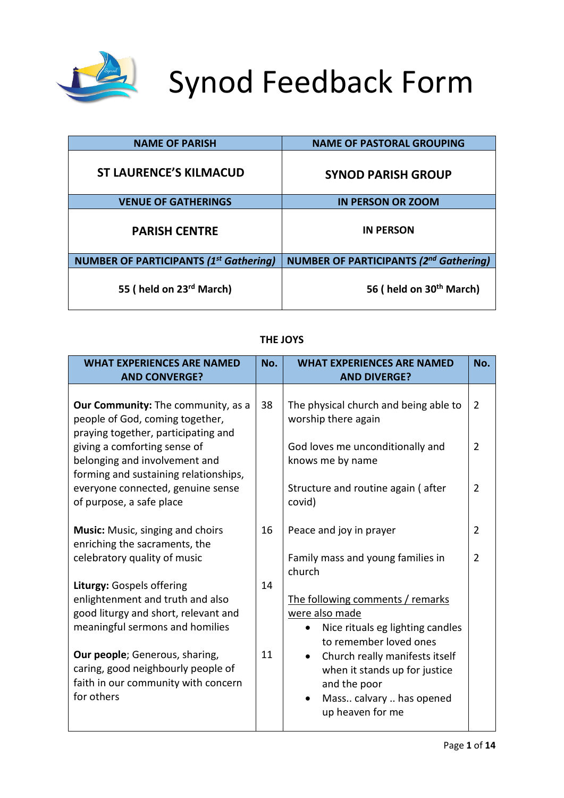

# Synod Feedback Form

| <b>NAME OF PARISH</b>                         | <b>NAME OF PASTORAL GROUPING</b>              |
|-----------------------------------------------|-----------------------------------------------|
| <b>ST LAURENCE'S KILMACUD</b>                 | <b>SYNOD PARISH GROUP</b>                     |
| <b>VENUE OF GATHERINGS</b>                    | <b>IN PERSON OR ZOOM</b>                      |
| <b>PARISH CENTRE</b>                          | <b>IN PERSON</b>                              |
| <b>NUMBER OF PARTICIPANTS (1st Gathering)</b> | <b>NUMBER OF PARTICIPANTS (2nd Gathering)</b> |
| 55 (held on 23 <sup>rd</sup> March)           | 56 (held on 30 <sup>th</sup> March)           |

| <b>WHAT EXPERIENCES ARE NAMED</b><br><b>AND CONVERGE?</b>                                                                         | No. | <b>WHAT EXPERIENCES ARE NAMED</b><br><b>AND DIVERGE?</b>                                                                        | No.            |
|-----------------------------------------------------------------------------------------------------------------------------------|-----|---------------------------------------------------------------------------------------------------------------------------------|----------------|
| Our Community: The community, as a<br>people of God, coming together,<br>praying together, participating and                      | 38  | The physical church and being able to<br>worship there again                                                                    | $\overline{2}$ |
| giving a comforting sense of<br>belonging and involvement and<br>forming and sustaining relationships,                            |     | God loves me unconditionally and<br>knows me by name                                                                            | 2              |
| everyone connected, genuine sense<br>of purpose, a safe place                                                                     |     | Structure and routine again (after<br>covid)                                                                                    | $\overline{2}$ |
| <b>Music:</b> Music, singing and choirs<br>enriching the sacraments, the                                                          | 16  | Peace and joy in prayer                                                                                                         | $\overline{2}$ |
| celebratory quality of music                                                                                                      |     | Family mass and young families in<br>church                                                                                     | 2              |
| Liturgy: Gospels offering                                                                                                         | 14  |                                                                                                                                 |                |
| enlightenment and truth and also<br>good liturgy and short, relevant and<br>meaningful sermons and homilies                       |     | The following comments / remarks<br>were also made<br>Nice rituals eg lighting candles<br>to remember loved ones                |                |
| <b>Our people</b> ; Generous, sharing,<br>caring, good neighbourly people of<br>faith in our community with concern<br>for others | 11  | Church really manifests itself<br>when it stands up for justice<br>and the poor<br>Mass calvary  has opened<br>up heaven for me |                |

### **THE JOYS**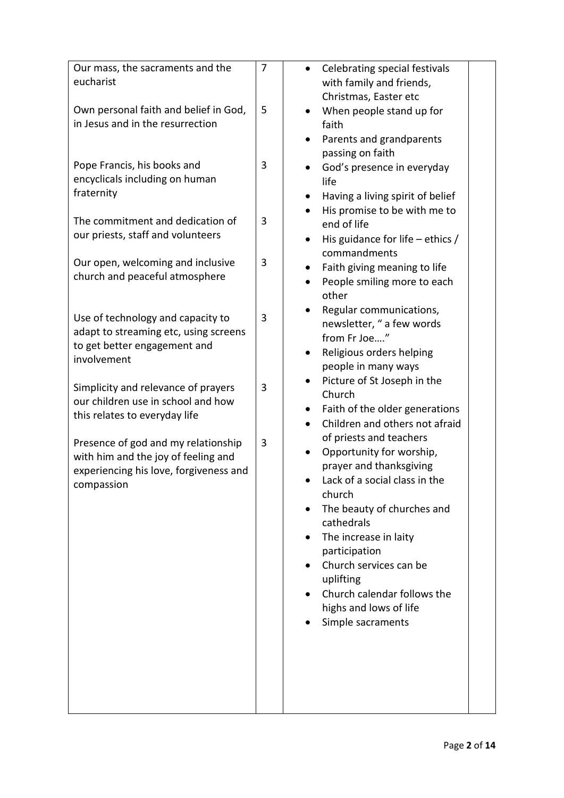| Our mass, the sacraments and the       | 7            | Celebrating special festivals<br>$\bullet$  |
|----------------------------------------|--------------|---------------------------------------------|
| eucharist                              |              | with family and friends,                    |
|                                        |              | Christmas, Easter etc                       |
| Own personal faith and belief in God,  | 5            | When people stand up for                    |
| in Jesus and in the resurrection       |              | faith                                       |
|                                        |              | Parents and grandparents                    |
|                                        |              | passing on faith                            |
| Pope Francis, his books and            | 3            | God's presence in everyday                  |
| encyclicals including on human         |              | life                                        |
| fraternity                             |              | Having a living spirit of belief            |
|                                        |              | His promise to be with me to                |
| The commitment and dedication of       | 3            | end of life                                 |
| our priests, staff and volunteers      |              | His guidance for life $-$ ethics /<br>٠     |
|                                        |              | commandments                                |
| Our open, welcoming and inclusive      | 3            | Faith giving meaning to life                |
| church and peaceful atmosphere         |              | People smiling more to each                 |
|                                        |              | other                                       |
| Use of technology and capacity to      | $\mathbf{3}$ | Regular communications,                     |
| adapt to streaming etc, using screens  |              | newsletter, " a few words                   |
| to get better engagement and           |              | from Fr Joe"                                |
| involvement                            |              | Religious orders helping                    |
|                                        |              | people in many ways                         |
| Simplicity and relevance of prayers    | 3            | Picture of St Joseph in the                 |
| our children use in school and how     |              | Church                                      |
| this relates to everyday life          |              | Faith of the older generations<br>$\bullet$ |
|                                        |              | Children and others not afraid              |
| Presence of god and my relationship    | 3            | of priests and teachers                     |
| with him and the joy of feeling and    |              | Opportunity for worship,                    |
| experiencing his love, forgiveness and |              | prayer and thanksgiving                     |
| compassion                             |              | Lack of a social class in the               |
|                                        |              | church                                      |
|                                        |              | The beauty of churches and                  |
|                                        |              | cathedrals                                  |
|                                        |              | The increase in laity                       |
|                                        |              | participation<br>Church services can be     |
|                                        |              | uplifting                                   |
|                                        |              | Church calendar follows the                 |
|                                        |              | highs and lows of life                      |
|                                        |              | Simple sacraments                           |
|                                        |              |                                             |
|                                        |              |                                             |
|                                        |              |                                             |
|                                        |              |                                             |
|                                        |              |                                             |
|                                        |              |                                             |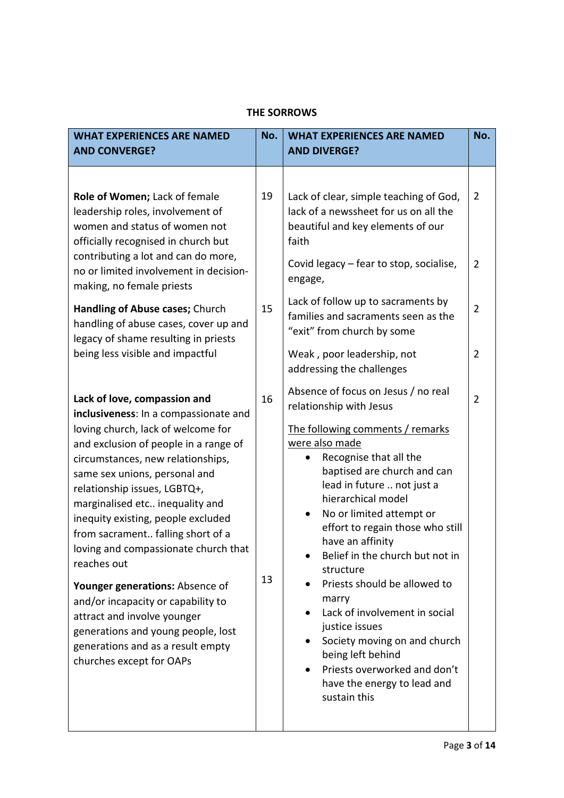| <b>WHAT EXPERIENCES ARE NAMED</b>                                                                                                                                                                                                                                                                                                                                                                                                                                                                                                                                                                                                              | No.      | <b>WHAT EXPERIENCES ARE NAMED</b>                                                                                                                                                                                                                                                                                                                                                                                                                                                                                                                                                                                                                    | No.                                                     |
|------------------------------------------------------------------------------------------------------------------------------------------------------------------------------------------------------------------------------------------------------------------------------------------------------------------------------------------------------------------------------------------------------------------------------------------------------------------------------------------------------------------------------------------------------------------------------------------------------------------------------------------------|----------|------------------------------------------------------------------------------------------------------------------------------------------------------------------------------------------------------------------------------------------------------------------------------------------------------------------------------------------------------------------------------------------------------------------------------------------------------------------------------------------------------------------------------------------------------------------------------------------------------------------------------------------------------|---------------------------------------------------------|
| <b>AND CONVERGE?</b>                                                                                                                                                                                                                                                                                                                                                                                                                                                                                                                                                                                                                           |          | <b>AND DIVERGE?</b>                                                                                                                                                                                                                                                                                                                                                                                                                                                                                                                                                                                                                                  |                                                         |
| Role of Women; Lack of female<br>leadership roles, involvement of<br>women and status of women not<br>officially recognised in church but<br>contributing a lot and can do more,<br>no or limited involvement in decision-<br>making, no female priests<br>Handling of Abuse cases; Church<br>handling of abuse cases, cover up and<br>legacy of shame resulting in priests<br>being less visible and impactful                                                                                                                                                                                                                                | 19<br>15 | Lack of clear, simple teaching of God,<br>lack of a newssheet for us on all the<br>beautiful and key elements of our<br>faith<br>Covid legacy - fear to stop, socialise,<br>engage,<br>Lack of follow up to sacraments by<br>families and sacraments seen as the<br>"exit" from church by some<br>Weak, poor leadership, not                                                                                                                                                                                                                                                                                                                         | $\overline{2}$<br>$\overline{2}$<br>$\overline{2}$<br>2 |
| Lack of love, compassion and<br>inclusiveness: In a compassionate and<br>loving church, lack of welcome for<br>and exclusion of people in a range of<br>circumstances, new relationships,<br>same sex unions, personal and<br>relationship issues, LGBTQ+,<br>marginalised etc inequality and<br>inequity existing, people excluded<br>from sacrament falling short of a<br>loving and compassionate church that<br>reaches out<br>Younger generations: Absence of<br>and/or incapacity or capability to<br>attract and involve younger<br>generations and young people, lost<br>generations and as a result empty<br>churches except for OAPs | 16<br>13 | addressing the challenges<br>Absence of focus on Jesus / no real<br>relationship with Jesus<br>The following comments / remarks<br>were also made<br>Recognise that all the<br>baptised are church and can<br>lead in future  not just a<br>hierarchical model<br>No or limited attempt or<br>٠<br>effort to regain those who still<br>have an affinity<br>Belief in the church but not in<br>structure<br>Priests should be allowed to<br>marry<br>Lack of involvement in social<br>justice issues<br>Society moving on and church<br>$\bullet$<br>being left behind<br>Priests overworked and don't<br>have the energy to lead and<br>sustain this | $\overline{2}$                                          |

## **THE SORROWS**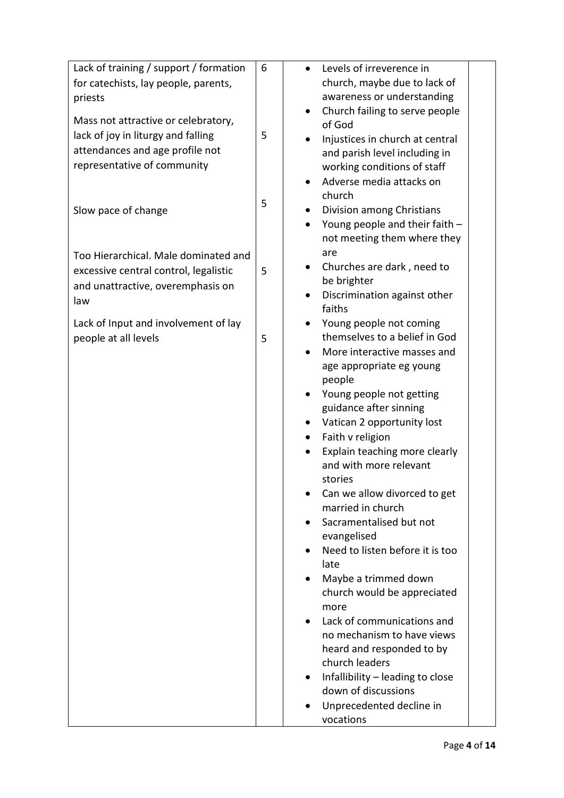| Lack of training / support / formation | 6 | Levels of irreverence in                               |
|----------------------------------------|---|--------------------------------------------------------|
| for catechists, lay people, parents,   |   | church, maybe due to lack of                           |
| priests                                |   | awareness or understanding                             |
|                                        |   | Church failing to serve people                         |
| Mass not attractive or celebratory,    |   | of God                                                 |
| lack of joy in liturgy and falling     | 5 | Injustices in church at central                        |
| attendances and age profile not        |   | and parish level including in                          |
| representative of community            |   | working conditions of staff                            |
|                                        |   | Adverse media attacks on                               |
|                                        | 5 | church                                                 |
| Slow pace of change                    |   | Division among Christians                              |
|                                        |   | Young people and their faith -                         |
|                                        |   | not meeting them where they                            |
| Too Hierarchical. Male dominated and   |   | are                                                    |
| excessive central control, legalistic  | 5 | Churches are dark, need to<br>$\bullet$<br>be brighter |
| and unattractive, overemphasis on      |   | Discrimination against other                           |
| law                                    |   | faiths                                                 |
| Lack of Input and involvement of lay   |   | Young people not coming                                |
| people at all levels                   | 5 | themselves to a belief in God                          |
|                                        |   | More interactive masses and                            |
|                                        |   | age appropriate eg young                               |
|                                        |   | people                                                 |
|                                        |   | Young people not getting                               |
|                                        |   | guidance after sinning                                 |
|                                        |   | Vatican 2 opportunity lost                             |
|                                        |   | Faith v religion                                       |
|                                        |   | Explain teaching more clearly                          |
|                                        |   | and with more relevant<br>stories                      |
|                                        |   | Can we allow divorced to get                           |
|                                        |   | married in church                                      |
|                                        |   | Sacramentalised but not                                |
|                                        |   | evangelised                                            |
|                                        |   | Need to listen before it is too                        |
|                                        |   | late                                                   |
|                                        |   | Maybe a trimmed down                                   |
|                                        |   | church would be appreciated                            |
|                                        |   | more                                                   |
|                                        |   | Lack of communications and                             |
|                                        |   | no mechanism to have views                             |
|                                        |   | heard and responded to by                              |
|                                        |   | church leaders                                         |
|                                        |   | Infallibility - leading to close                       |
|                                        |   | down of discussions                                    |
|                                        |   | Unprecedented decline in                               |
|                                        |   | vocations                                              |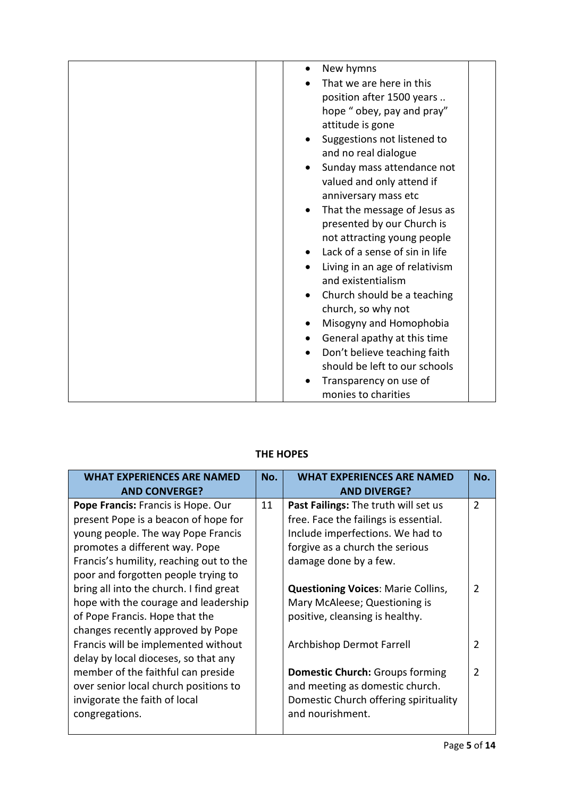| New hymns                                 |
|-------------------------------------------|
| That we are here in this                  |
| position after 1500 years                 |
| hope " obey, pay and pray"                |
| attitude is gone                          |
| Suggestions not listened to<br>$\bullet$  |
| and no real dialogue                      |
| Sunday mass attendance not<br>$\bullet$   |
| valued and only attend if                 |
| anniversary mass etc                      |
| That the message of Jesus as<br>$\bullet$ |
| presented by our Church is                |
| not attracting young people               |
| Lack of a sense of sin in life            |
| Living in an age of relativism            |
| and existentialism                        |
| Church should be a teaching               |
| church, so why not                        |
| Misogyny and Homophobia<br>$\bullet$      |
| General apathy at this time<br>$\bullet$  |
| Don't believe teaching faith              |
| should be left to our schools             |
| Transparency on use of                    |
| monies to charities                       |

# **THE HOPES**

| <b>WHAT EXPERIENCES ARE NAMED</b>       | No. | <b>WHAT EXPERIENCES ARE NAMED</b>         | No.            |
|-----------------------------------------|-----|-------------------------------------------|----------------|
| <b>AND CONVERGE?</b>                    |     | <b>AND DIVERGE?</b>                       |                |
| Pope Francis: Francis is Hope. Our      | 11  | Past Failings: The truth will set us      | $\overline{2}$ |
| present Pope is a beacon of hope for    |     | free. Face the failings is essential.     |                |
| young people. The way Pope Francis      |     | Include imperfections. We had to          |                |
| promotes a different way. Pope          |     | forgive as a church the serious           |                |
| Francis's humility, reaching out to the |     | damage done by a few.                     |                |
| poor and forgotten people trying to     |     |                                           |                |
| bring all into the church. I find great |     | <b>Questioning Voices: Marie Collins,</b> | 2              |
| hope with the courage and leadership    |     | Mary McAleese; Questioning is             |                |
| of Pope Francis. Hope that the          |     | positive, cleansing is healthy.           |                |
| changes recently approved by Pope       |     |                                           |                |
| Francis will be implemented without     |     | Archbishop Dermot Farrell                 | $\overline{2}$ |
| delay by local dioceses, so that any    |     |                                           |                |
| member of the faithful can preside      |     | <b>Domestic Church:</b> Groups forming    | $\overline{2}$ |
| over senior local church positions to   |     | and meeting as domestic church.           |                |
| invigorate the faith of local           |     | Domestic Church offering spirituality     |                |
| congregations.                          |     | and nourishment.                          |                |
|                                         |     |                                           |                |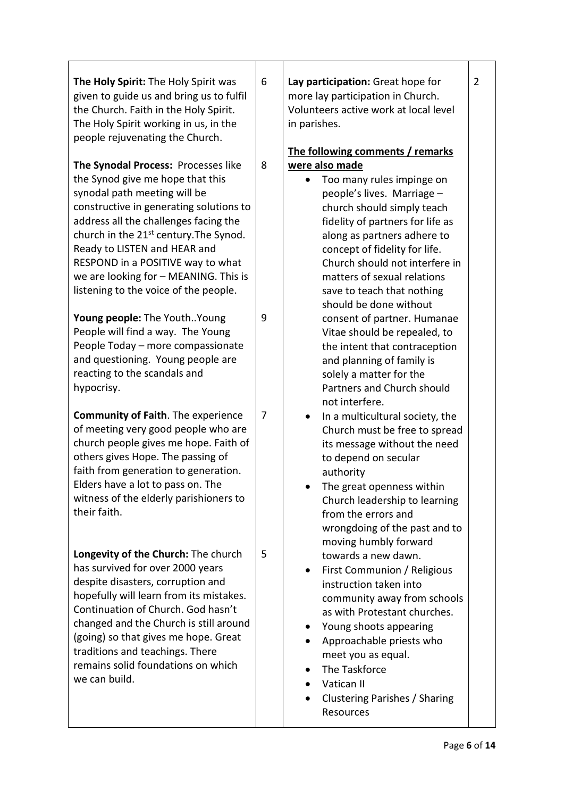| The Holy Spirit: The Holy Spirit was<br>given to guide us and bring us to fulfil<br>the Church. Faith in the Holy Spirit.<br>The Holy Spirit working in us, in the                                                                                                                                                                                                                                 | 6 | Lay participation: Great hope for<br>more lay participation in Church.<br>Volunteers active work at local level<br>in parishes.                                                                                                                                                                                                                                           | $\overline{2}$ |
|----------------------------------------------------------------------------------------------------------------------------------------------------------------------------------------------------------------------------------------------------------------------------------------------------------------------------------------------------------------------------------------------------|---|---------------------------------------------------------------------------------------------------------------------------------------------------------------------------------------------------------------------------------------------------------------------------------------------------------------------------------------------------------------------------|----------------|
| people rejuvenating the Church.<br>The Synodal Process: Processes like<br>the Synod give me hope that this<br>synodal path meeting will be<br>constructive in generating solutions to<br>address all the challenges facing the<br>church in the 21 <sup>st</sup> century. The Synod.<br>Ready to LISTEN and HEAR and<br>RESPOND in a POSITIVE way to what<br>we are looking for - MEANING. This is | 8 | The following comments / remarks<br>were also made<br>Too many rules impinge on<br>people's lives. Marriage -<br>church should simply teach<br>fidelity of partners for life as<br>along as partners adhere to<br>concept of fidelity for life.<br>Church should not interfere in<br>matters of sexual relations                                                          |                |
| listening to the voice of the people.<br>Young people: The YouthYoung<br>People will find a way. The Young<br>People Today - more compassionate<br>and questioning. Young people are<br>reacting to the scandals and<br>hypocrisy.                                                                                                                                                                 | 9 | save to teach that nothing<br>should be done without<br>consent of partner. Humanae<br>Vitae should be repealed, to<br>the intent that contraception<br>and planning of family is<br>solely a matter for the<br>Partners and Church should<br>not interfere.                                                                                                              |                |
| <b>Community of Faith.</b> The experience<br>of meeting very good people who are<br>church people gives me hope. Faith of<br>others gives Hope. The passing of<br>faith from generation to generation.<br>Elders have a lot to pass on. The<br>witness of the elderly parishioners to<br>their faith.                                                                                              | 7 | In a multicultural society, the<br>$\bullet$<br>Church must be free to spread<br>its message without the need<br>to depend on secular<br>authority<br>The great openness within<br>Church leadership to learning<br>from the errors and<br>wrongdoing of the past and to                                                                                                  |                |
| Longevity of the Church: The church<br>has survived for over 2000 years<br>despite disasters, corruption and<br>hopefully will learn from its mistakes.<br>Continuation of Church. God hasn't<br>changed and the Church is still around<br>(going) so that gives me hope. Great<br>traditions and teachings. There<br>remains solid foundations on which<br>we can build.                          | 5 | moving humbly forward<br>towards a new dawn.<br>First Communion / Religious<br>$\bullet$<br>instruction taken into<br>community away from schools<br>as with Protestant churches.<br>Young shoots appearing<br>٠<br>Approachable priests who<br>meet you as equal.<br>The Taskforce<br>Vatican II<br>$\bullet$<br>Clustering Parishes / Sharing<br>$\bullet$<br>Resources |                |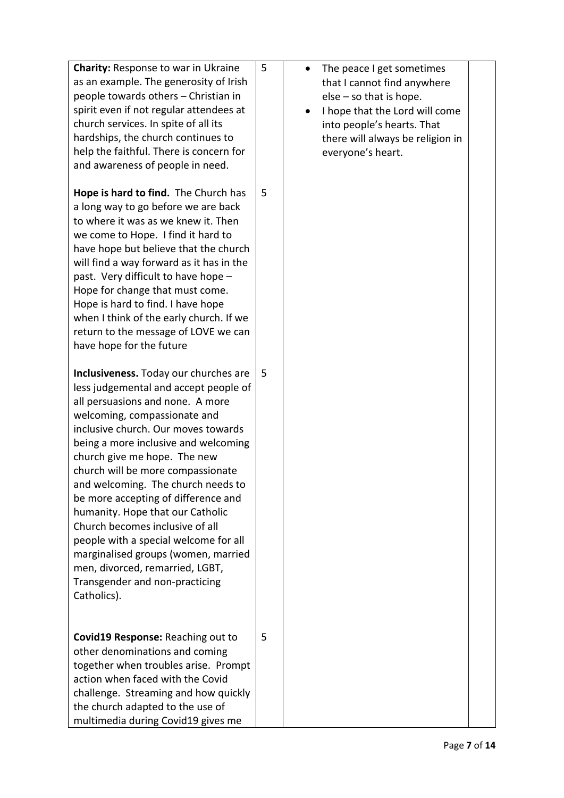| <b>Charity: Response to war in Ukraine</b><br>as an example. The generosity of Irish<br>people towards others - Christian in<br>spirit even if not regular attendees at<br>church services. In spite of all its<br>hardships, the church continues to<br>help the faithful. There is concern for<br>and awareness of people in need.                                                                                                                                                                                                                                                                                           | 5 | The peace I get sometimes<br>that I cannot find anywhere<br>$else - so that is hope.$<br>I hope that the Lord will come<br>into people's hearts. That<br>there will always be religion in<br>everyone's heart. |  |
|--------------------------------------------------------------------------------------------------------------------------------------------------------------------------------------------------------------------------------------------------------------------------------------------------------------------------------------------------------------------------------------------------------------------------------------------------------------------------------------------------------------------------------------------------------------------------------------------------------------------------------|---|----------------------------------------------------------------------------------------------------------------------------------------------------------------------------------------------------------------|--|
| Hope is hard to find. The Church has<br>a long way to go before we are back<br>to where it was as we knew it. Then<br>we come to Hope. I find it hard to<br>have hope but believe that the church<br>will find a way forward as it has in the<br>past. Very difficult to have hope -<br>Hope for change that must come.<br>Hope is hard to find. I have hope<br>when I think of the early church. If we<br>return to the message of LOVE we can<br>have hope for the future                                                                                                                                                    | 5 |                                                                                                                                                                                                                |  |
| Inclusiveness. Today our churches are<br>less judgemental and accept people of<br>all persuasions and none. A more<br>welcoming, compassionate and<br>inclusive church. Our moves towards<br>being a more inclusive and welcoming<br>church give me hope. The new<br>church will be more compassionate<br>and welcoming. The church needs to<br>be more accepting of difference and<br>humanity. Hope that our Catholic<br>Church becomes inclusive of all<br>people with a special welcome for all<br>marginalised groups (women, married<br>men, divorced, remarried, LGBT,<br>Transgender and non-practicing<br>Catholics). | 5 |                                                                                                                                                                                                                |  |
| Covid19 Response: Reaching out to<br>other denominations and coming<br>together when troubles arise. Prompt<br>action when faced with the Covid<br>challenge. Streaming and how quickly<br>the church adapted to the use of<br>multimedia during Covid19 gives me                                                                                                                                                                                                                                                                                                                                                              | 5 |                                                                                                                                                                                                                |  |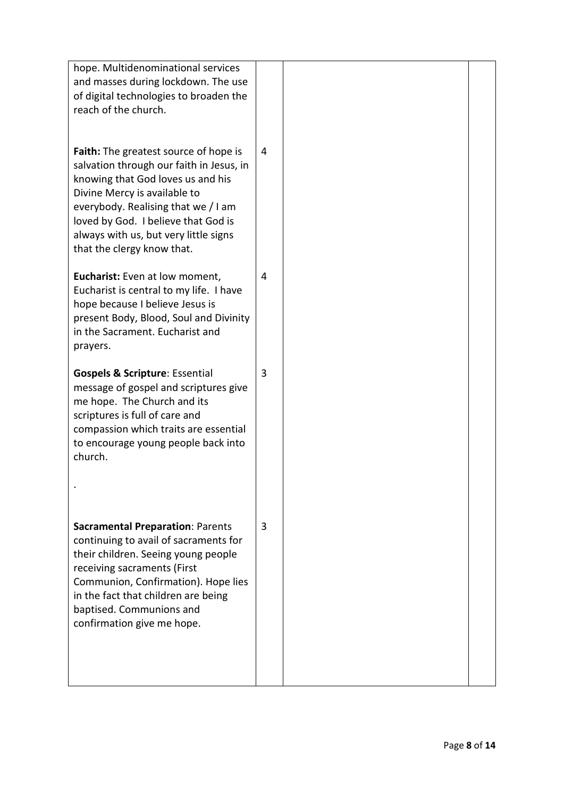| hope. Multidenominational services<br>and masses during lockdown. The use<br>of digital technologies to broaden the<br>reach of the church.                                                                                                                                                                        |   |  |
|--------------------------------------------------------------------------------------------------------------------------------------------------------------------------------------------------------------------------------------------------------------------------------------------------------------------|---|--|
| <b>Faith:</b> The greatest source of hope is<br>salvation through our faith in Jesus, in<br>knowing that God loves us and his<br>Divine Mercy is available to<br>everybody. Realising that we / I am<br>loved by God. I believe that God is<br>always with us, but very little signs<br>that the clergy know that. | 4 |  |
| Eucharist: Even at low moment,<br>Eucharist is central to my life. I have<br>hope because I believe Jesus is<br>present Body, Blood, Soul and Divinity<br>in the Sacrament. Eucharist and<br>prayers.                                                                                                              | 4 |  |
| <b>Gospels &amp; Scripture: Essential</b><br>message of gospel and scriptures give<br>me hope. The Church and its<br>scriptures is full of care and<br>compassion which traits are essential<br>to encourage young people back into<br>church.                                                                     | 3 |  |
|                                                                                                                                                                                                                                                                                                                    |   |  |
| <b>Sacramental Preparation: Parents</b><br>continuing to avail of sacraments for<br>their children. Seeing young people<br>receiving sacraments (First<br>Communion, Confirmation). Hope lies<br>in the fact that children are being<br>baptised. Communions and<br>confirmation give me hope.                     | 3 |  |
|                                                                                                                                                                                                                                                                                                                    |   |  |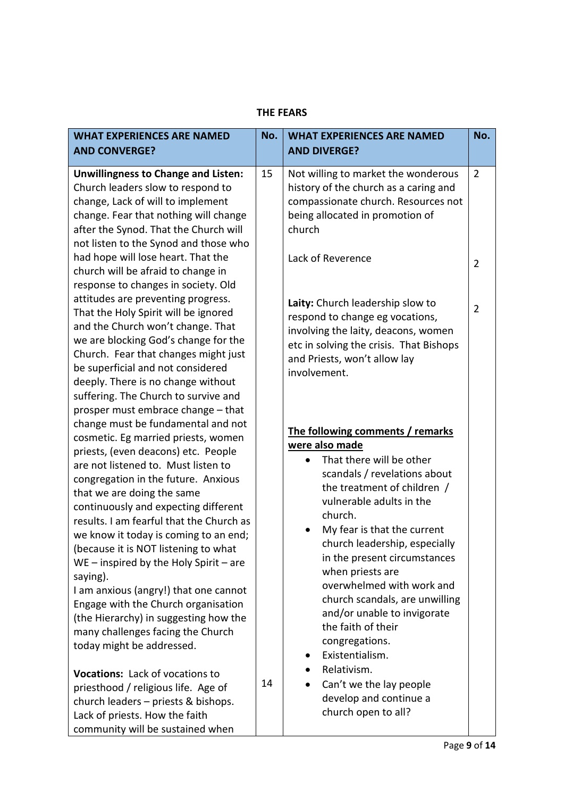| <b>WHAT EXPERIENCES ARE NAMED</b>                                                                                                                                                                                                                                                                                                                                                                                                                | No. | <b>WHAT EXPERIENCES ARE NAMED</b>                                                                                                                                                                                                                                                                                 | No.                      |
|--------------------------------------------------------------------------------------------------------------------------------------------------------------------------------------------------------------------------------------------------------------------------------------------------------------------------------------------------------------------------------------------------------------------------------------------------|-----|-------------------------------------------------------------------------------------------------------------------------------------------------------------------------------------------------------------------------------------------------------------------------------------------------------------------|--------------------------|
| <b>AND CONVERGE?</b>                                                                                                                                                                                                                                                                                                                                                                                                                             |     | <b>AND DIVERGE?</b>                                                                                                                                                                                                                                                                                               |                          |
| <b>Unwillingness to Change and Listen:</b><br>Church leaders slow to respond to<br>change, Lack of will to implement<br>change. Fear that nothing will change<br>after the Synod. That the Church will<br>not listen to the Synod and those who<br>had hope will lose heart. That the<br>church will be afraid to change in<br>response to changes in society. Old<br>attitudes are preventing progress.<br>That the Holy Spirit will be ignored | 15  | Not willing to market the wonderous<br>history of the church as a caring and<br>compassionate church. Resources not<br>being allocated in promotion of<br>church<br>Lack of Reverence<br>Laity: Church leadership slow to                                                                                         | $\overline{2}$<br>2<br>2 |
| and the Church won't change. That<br>we are blocking God's change for the<br>Church. Fear that changes might just<br>be superficial and not considered<br>deeply. There is no change without<br>suffering. The Church to survive and<br>prosper must embrace change - that<br>change must be fundamental and not<br>cosmetic. Eg married priests, women                                                                                          |     | respond to change eg vocations,<br>involving the laity, deacons, women<br>etc in solving the crisis. That Bishops<br>and Priests, won't allow lay<br>involvement.<br>The following comments / remarks<br>were also made                                                                                           |                          |
| priests, (even deacons) etc. People<br>are not listened to. Must listen to<br>congregation in the future. Anxious<br>that we are doing the same<br>continuously and expecting different<br>results. I am fearful that the Church as<br>we know it today is coming to an end;<br>(because it is NOT listening to what<br>$WE$ – inspired by the Holy Spirit – are<br>saying).<br>I am anxious (angry!) that one cannot                            |     | That there will be other<br>scandals / revelations about<br>the treatment of children /<br>vulnerable adults in the<br>church.<br>My fear is that the current<br>church leadership, especially<br>in the present circumstances<br>when priests are<br>overwhelmed with work and<br>church scandals, are unwilling |                          |
| Engage with the Church organisation<br>(the Hierarchy) in suggesting how the<br>many challenges facing the Church<br>today might be addressed.<br>Vocations: Lack of vocations to<br>priesthood / religious life. Age of<br>church leaders - priests & bishops.<br>Lack of priests. How the faith<br>community will be sustained when                                                                                                            | 14  | and/or unable to invigorate<br>the faith of their<br>congregations.<br>Existentialism.<br>Relativism.<br>Can't we the lay people<br>develop and continue a<br>church open to all?                                                                                                                                 |                          |

#### **THE FEARS**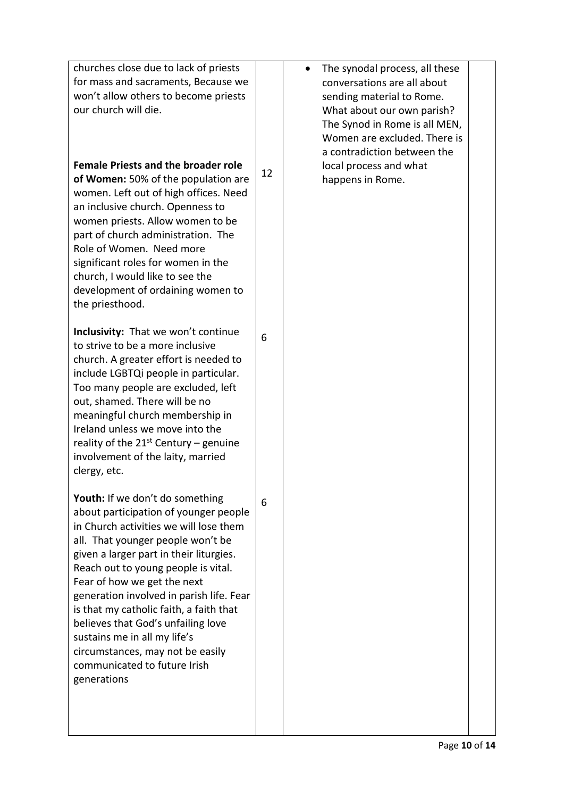| churches close due to lack of priests<br>for mass and sacraments, Because we<br>won't allow others to become priests<br>our church will die.                                                                                                                                                                                                                                                                                                                                                                             |    | The synodal process, all these<br>conversations are all about<br>sending material to Rome.<br>What about our own parish?<br>The Synod in Rome is all MEN,<br>Women are excluded. There is<br>a contradiction between the |  |
|--------------------------------------------------------------------------------------------------------------------------------------------------------------------------------------------------------------------------------------------------------------------------------------------------------------------------------------------------------------------------------------------------------------------------------------------------------------------------------------------------------------------------|----|--------------------------------------------------------------------------------------------------------------------------------------------------------------------------------------------------------------------------|--|
| <b>Female Priests and the broader role</b><br>of Women: 50% of the population are<br>women. Left out of high offices. Need<br>an inclusive church. Openness to<br>women priests. Allow women to be<br>part of church administration. The<br>Role of Women. Need more<br>significant roles for women in the<br>church, I would like to see the<br>development of ordaining women to<br>the priesthood.                                                                                                                    | 12 | local process and what<br>happens in Rome.                                                                                                                                                                               |  |
| Inclusivity: That we won't continue<br>to strive to be a more inclusive<br>church. A greater effort is needed to<br>include LGBTQi people in particular.<br>Too many people are excluded, left<br>out, shamed. There will be no<br>meaningful church membership in<br>Ireland unless we move into the<br>reality of the $21^{st}$ Century – genuine<br>involvement of the laity, married<br>clergy, etc.                                                                                                                 | 6  |                                                                                                                                                                                                                          |  |
| Youth: If we don't do something<br>about participation of younger people<br>in Church activities we will lose them<br>all. That younger people won't be<br>given a larger part in their liturgies.<br>Reach out to young people is vital.<br>Fear of how we get the next<br>generation involved in parish life. Fear<br>is that my catholic faith, a faith that<br>believes that God's unfailing love<br>sustains me in all my life's<br>circumstances, may not be easily<br>communicated to future Irish<br>generations | 6  |                                                                                                                                                                                                                          |  |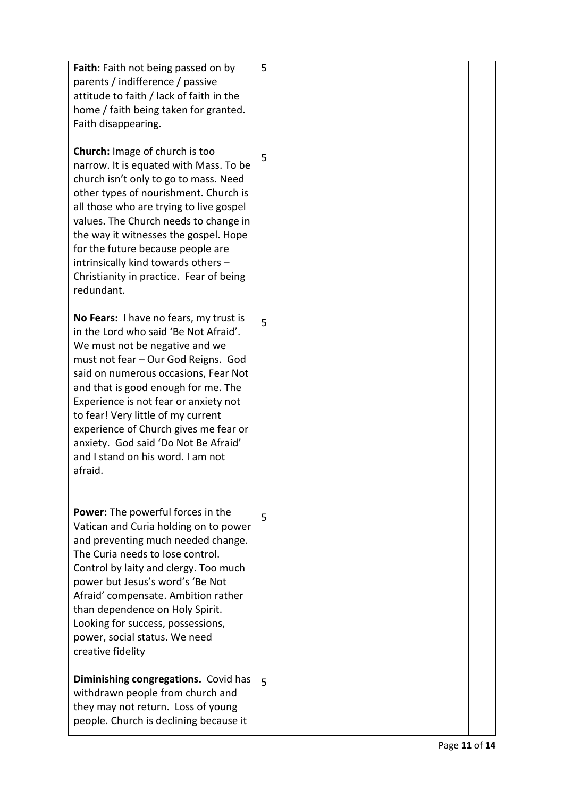| Faith: Faith not being passed on by<br>parents / indifference / passive<br>attitude to faith / lack of faith in the<br>home / faith being taken for granted.<br>Faith disappearing.                                                                                                                                                                                                                                                                     | 5 |  |
|---------------------------------------------------------------------------------------------------------------------------------------------------------------------------------------------------------------------------------------------------------------------------------------------------------------------------------------------------------------------------------------------------------------------------------------------------------|---|--|
| <b>Church:</b> Image of church is too<br>narrow. It is equated with Mass. To be<br>church isn't only to go to mass. Need<br>other types of nourishment. Church is<br>all those who are trying to live gospel<br>values. The Church needs to change in<br>the way it witnesses the gospel. Hope<br>for the future because people are<br>intrinsically kind towards others -<br>Christianity in practice. Fear of being<br>redundant.                     | 5 |  |
| No Fears: I have no fears, my trust is<br>in the Lord who said 'Be Not Afraid'.<br>We must not be negative and we<br>must not fear - Our God Reigns. God<br>said on numerous occasions, Fear Not<br>and that is good enough for me. The<br>Experience is not fear or anxiety not<br>to fear! Very little of my current<br>experience of Church gives me fear or<br>anxiety. God said 'Do Not Be Afraid'<br>and I stand on his word. I am not<br>afraid. | 5 |  |
| <b>Power:</b> The powerful forces in the<br>Vatican and Curia holding on to power<br>and preventing much needed change.<br>The Curia needs to lose control.<br>Control by laity and clergy. Too much<br>power but Jesus's word's 'Be Not<br>Afraid' compensate. Ambition rather<br>than dependence on Holy Spirit.<br>Looking for success, possessions,<br>power, social status. We need<br>creative fidelity                                           | 5 |  |
| Diminishing congregations. Covid has<br>withdrawn people from church and<br>they may not return. Loss of young<br>people. Church is declining because it                                                                                                                                                                                                                                                                                                | 5 |  |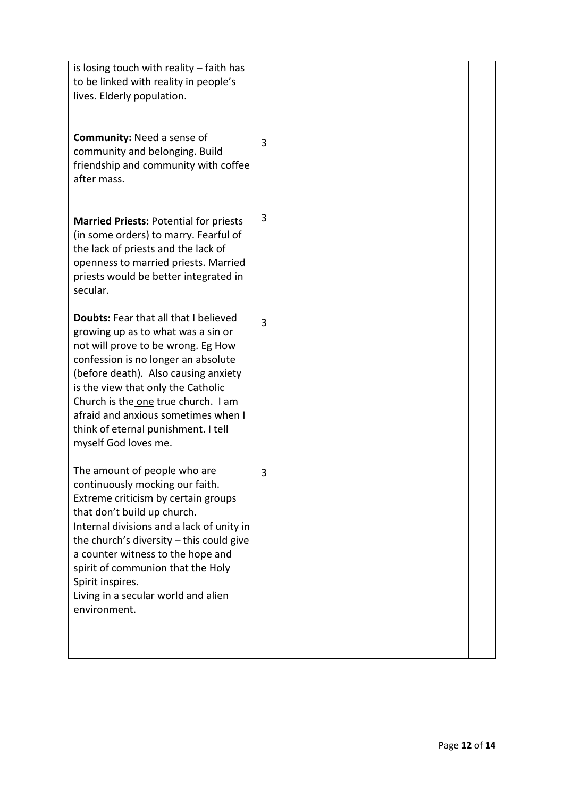| is losing touch with reality $-$ faith has<br>to be linked with reality in people's<br>lives. Elderly population.                                                                                                                                                                                                                                                                          |   |  |
|--------------------------------------------------------------------------------------------------------------------------------------------------------------------------------------------------------------------------------------------------------------------------------------------------------------------------------------------------------------------------------------------|---|--|
| <b>Community: Need a sense of</b><br>community and belonging. Build<br>friendship and community with coffee<br>after mass.                                                                                                                                                                                                                                                                 | 3 |  |
| <b>Married Priests: Potential for priests</b><br>(in some orders) to marry. Fearful of<br>the lack of priests and the lack of<br>openness to married priests. Married<br>priests would be better integrated in<br>secular.                                                                                                                                                                 | 3 |  |
| <b>Doubts: Fear that all that I believed</b><br>growing up as to what was a sin or<br>not will prove to be wrong. Eg How<br>confession is no longer an absolute<br>(before death). Also causing anxiety<br>is the view that only the Catholic<br>Church is the one true church. I am<br>afraid and anxious sometimes when I<br>think of eternal punishment. I tell<br>myself God loves me. | 3 |  |
| The amount of people who are<br>continuously mocking our faith.<br>Extreme criticism by certain groups<br>that don't build up church.<br>Internal divisions and a lack of unity in<br>the church's diversity $-$ this could give<br>a counter witness to the hope and<br>spirit of communion that the Holy<br>Spirit inspires.<br>Living in a secular world and alien<br>environment.      | 3 |  |
|                                                                                                                                                                                                                                                                                                                                                                                            |   |  |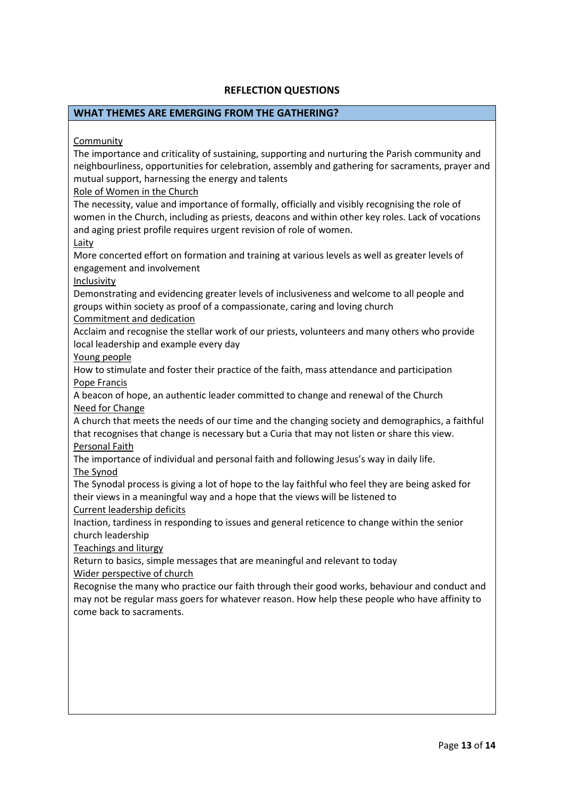#### **REFLECTION QUESTIONS**

#### **WHAT THEMES ARE EMERGING FROM THE GATHERING?**

Community

The importance and criticality of sustaining, supporting and nurturing the Parish community and neighbourliness, opportunities for celebration, assembly and gathering for sacraments, prayer and mutual support, harnessing the energy and talents

Role of Women in the Church

The necessity, value and importance of formally, officially and visibly recognising the role of women in the Church, including as priests, deacons and within other key roles. Lack of vocations and aging priest profile requires urgent revision of role of women.

Laity

More concerted effort on formation and training at various levels as well as greater levels of engagement and involvement

Inclusivity

Demonstrating and evidencing greater levels of inclusiveness and welcome to all people and groups within society as proof of a compassionate, caring and loving church

Commitment and dedication

Acclaim and recognise the stellar work of our priests, volunteers and many others who provide local leadership and example every day

Young people

How to stimulate and foster their practice of the faith, mass attendance and participation Pope Francis

A beacon of hope, an authentic leader committed to change and renewal of the Church Need for Change

A church that meets the needs of our time and the changing society and demographics, a faithful that recognises that change is necessary but a Curia that may not listen or share this view. Personal Faith

The importance of individual and personal faith and following Jesus's way in daily life. The Synod

The Synodal process is giving a lot of hope to the lay faithful who feel they are being asked for their views in a meaningful way and a hope that the views will be listened to

Current leadership deficits

Inaction, tardiness in responding to issues and general reticence to change within the senior church leadership

Teachings and liturgy

Return to basics, simple messages that are meaningful and relevant to today

Wider perspective of church

Recognise the many who practice our faith through their good works, behaviour and conduct and may not be regular mass goers for whatever reason. How help these people who have affinity to come back to sacraments.